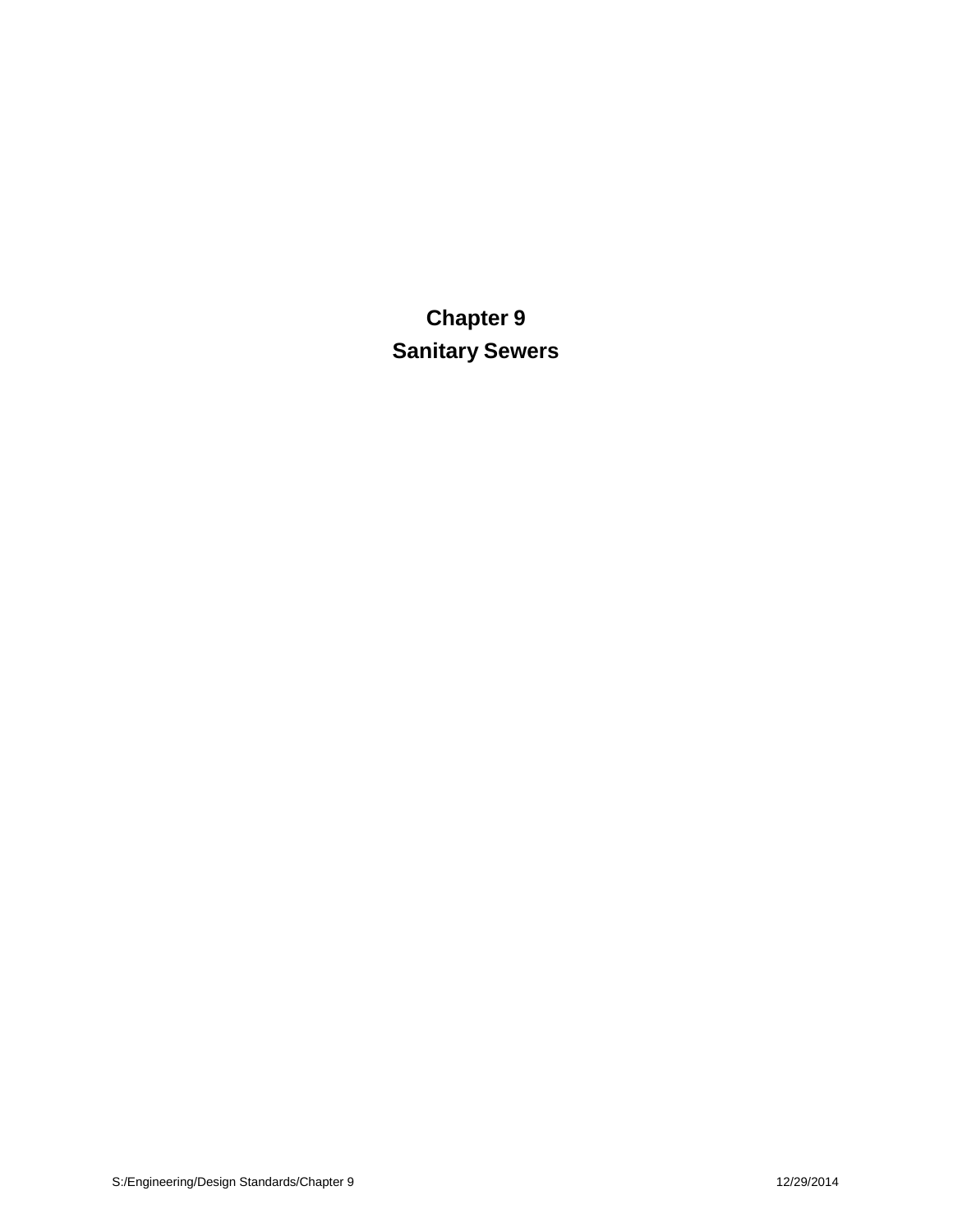**Chapter 9 Sanitary Sewers**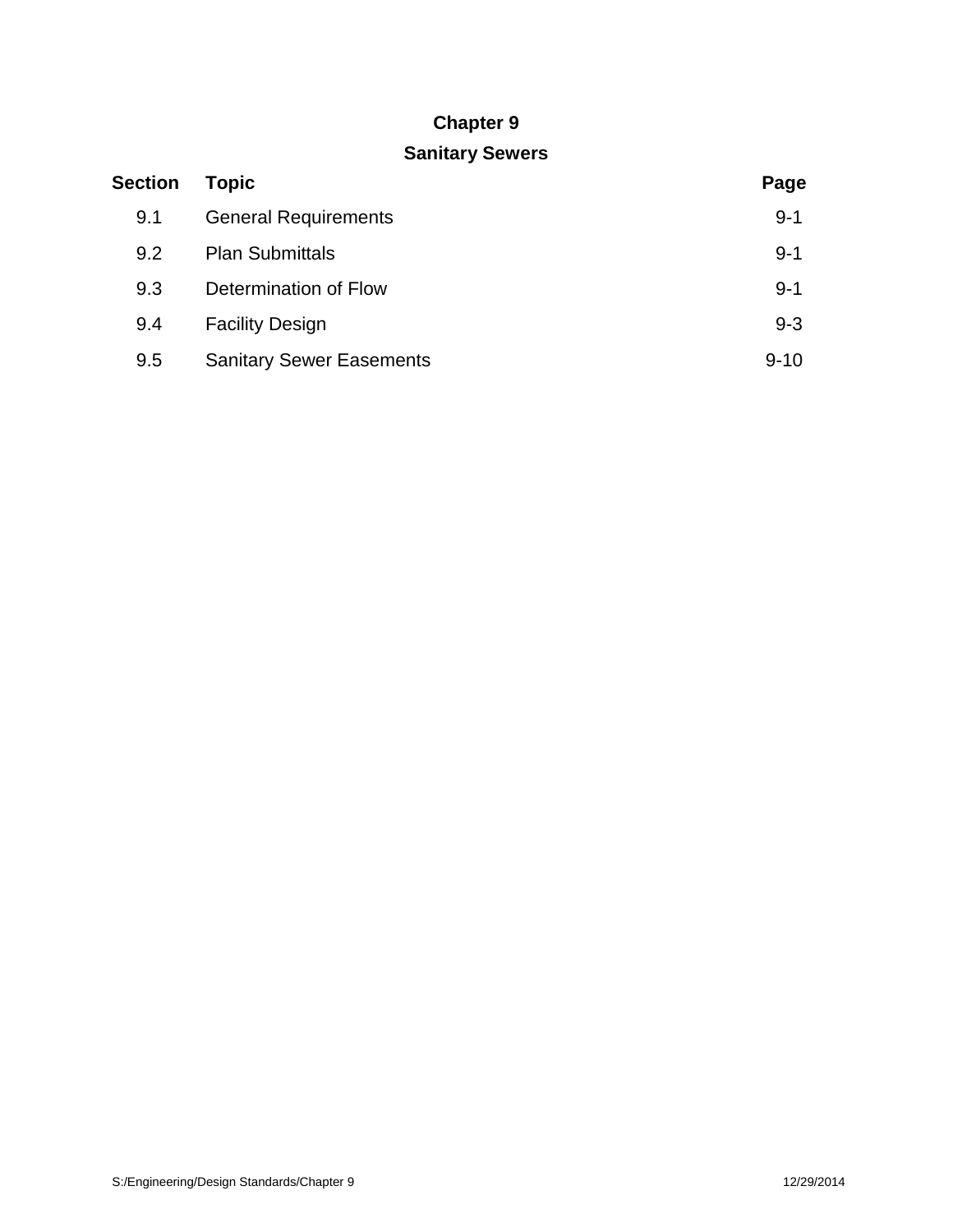# **Chapter 9**

# **Sanitary Sewers**

| <b>Section</b> | <b>Topic</b>                    | Page     |
|----------------|---------------------------------|----------|
| 9.1            | <b>General Requirements</b>     | $9 - 1$  |
| 9.2            | <b>Plan Submittals</b>          | $9 - 1$  |
| 9.3            | Determination of Flow           | $9 - 1$  |
| 9.4            | <b>Facility Design</b>          | $9 - 3$  |
| 9.5            | <b>Sanitary Sewer Easements</b> | $9 - 10$ |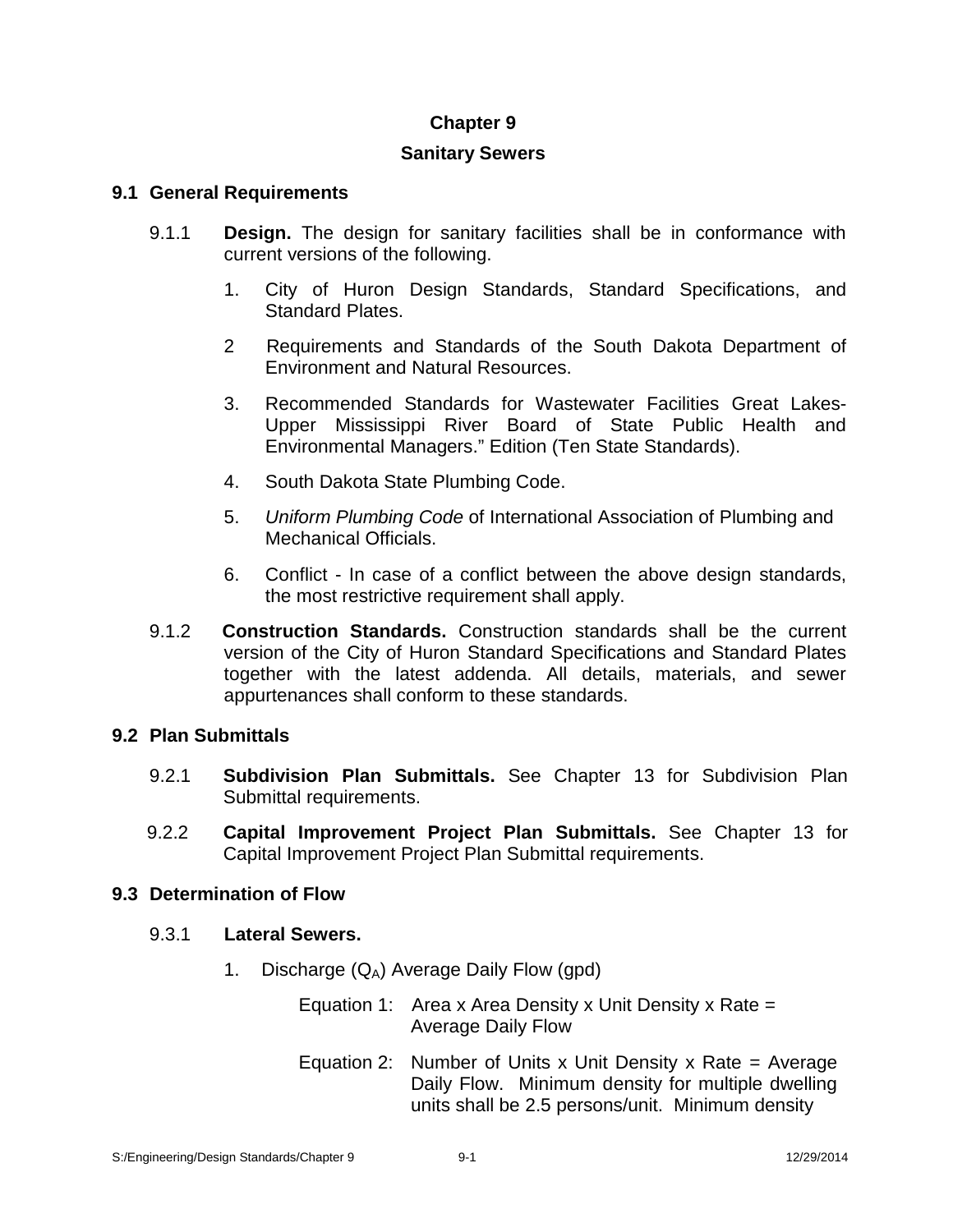# **Chapter 9**

# **Sanitary Sewers**

# **9.1 General Requirements**

- 9.1.1 **Design.** The design for sanitary facilities shall be in conformance with current versions of the following.
	- 1. City of Huron Design Standards, Standard Specifications, and Standard Plates.
	- 2 Requirements and Standards of the South Dakota Department of Environment and Natural Resources.
	- 3. Recommended Standards for Wastewater Facilities Great Lakes- Upper Mississippi River Board of State Public Health and Environmental Managers." Edition (Ten State Standards).
	- 4. South Dakota State Plumbing Code.
	- 5. *Uniform Plumbing Code* of International Association of Plumbing and Mechanical Officials.
	- 6. Conflict In case of a conflict between the above design standards, the most restrictive requirement shall apply.
- 9.1.2 **Construction Standards.** Construction standards shall be the current version of the City of Huron Standard Specifications and Standard Plates together with the latest addenda. All details, materials, and sewer appurtenances shall conform to these standards.

# **9.2 Plan Submittals**

- 9.2.1 **Subdivision Plan Submittals.** See Chapter 13 for Subdivision Plan Submittal requirements.
- 9.2.2 **Capital Improvement Project Plan Submittals.** See Chapter 13 for Capital Improvement Project Plan Submittal requirements.

# **9.3 Determination of Flow**

# 9.3.1 **Lateral Sewers.**

1. Discharge  $(Q_A)$  Average Daily Flow (gpd)

Equation 1: Area x Area Density x Unit Density x Rate  $=$ Average Daily Flow

Equation 2: Number of Units x Unit Density x Rate = Average Daily Flow. Minimum density for multiple dwelling units shall be 2.5 persons/unit. Minimum density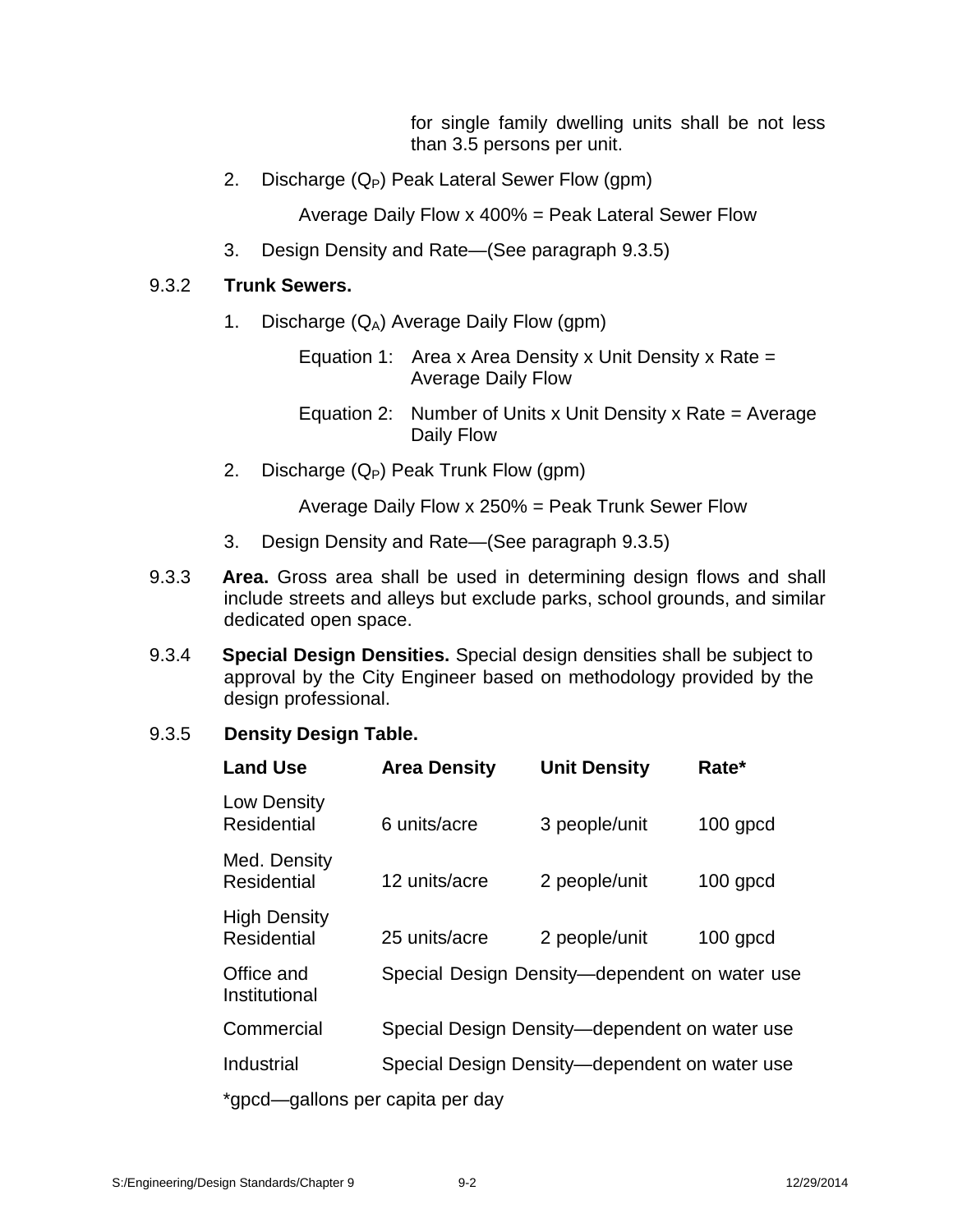for single family dwelling units shall be not less than 3.5 persons per unit.

2. Discharge  $(Q_P)$  Peak Lateral Sewer Flow  $(gpm)$ 

Average Daily Flow x 400% = Peak Lateral Sewer Flow

3. Design Density and Rate—(See paragraph 9.3.5)

## 9.3.2 **Trunk Sewers.**

- 1. Discharge  $(Q_A)$  Average Daily Flow (gpm)
	- Equation 1: Area x Area Density x Unit Density x Rate  $=$ Average Daily Flow
	- Equation 2: Number of Units x Unit Density x Rate = Average Daily Flow
- 2. Discharge  $(Q_P)$  Peak Trunk Flow (gpm)

Average Daily Flow x 250% = Peak Trunk Sewer Flow

- 3. Design Density and Rate—(See paragraph 9.3.5)
- 9.3.3 **Area.** Gross area shall be used in determining design flows and shall include streets and alleys but exclude parks, school grounds, and similar dedicated open space.
- 9.3.4 **Special Design Densities.** Special design densities shall be subject to approval by the City Engineer based on methodology provided by the design professional.

# 9.3.5 **Density Design Table.**

| <b>Land Use</b>                           | <b>Area Density</b> | <b>Unit Density</b>                           | Rate*      |
|-------------------------------------------|---------------------|-----------------------------------------------|------------|
| Low Density<br><b>Residential</b>         | 6 units/acre        | 3 people/unit                                 | $100$ gpcd |
| Med. Density<br><b>Residential</b>        | 12 units/acre       | 2 people/unit                                 | $100$ gpcd |
| <b>High Density</b><br><b>Residential</b> | 25 units/acre       | 2 people/unit                                 | $100$ gpcd |
| Office and<br>Institutional               |                     | Special Design Density—dependent on water use |            |
| Commercial                                |                     | Special Design Density-dependent on water use |            |
| Industrial                                |                     | Special Design Density—dependent on water use |            |
| *gpcd—gallons per capita per day          |                     |                                               |            |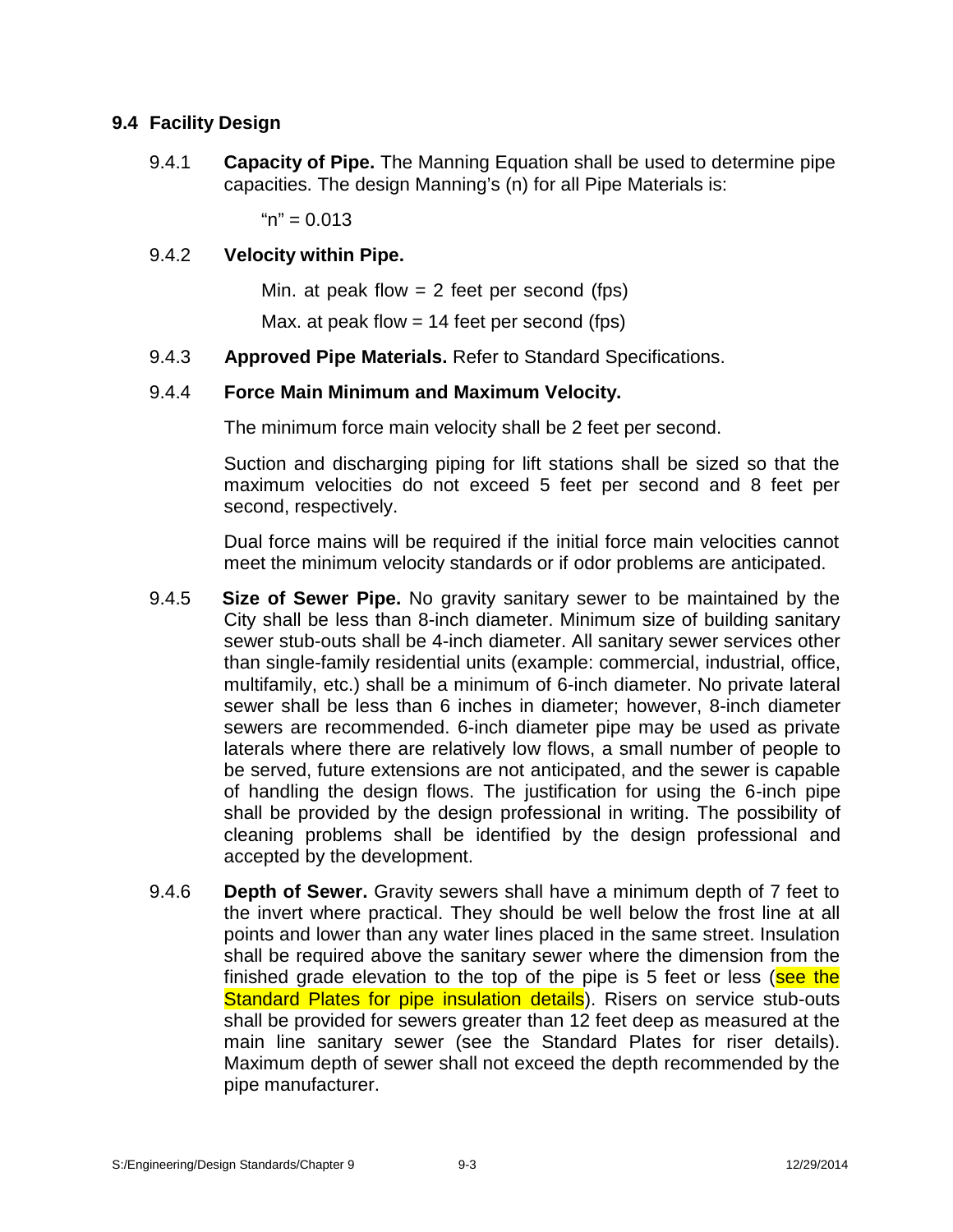## **9.4 Facility Design**

9.4.1 **Capacity of Pipe.** The Manning Equation shall be used to determine pipe capacities. The design Manning's (n) for all Pipe Materials is:

 $m'' = 0.013$ 

#### 9.4.2 **Velocity within Pipe.**

Min. at peak flow  $= 2$  feet per second (fps)

Max. at peak flow  $= 14$  feet per second (fps)

9.4.3 **Approved Pipe Materials.** Refer to Standard Specifications.

#### 9.4.4 **Force Main Minimum andMaximum Velocity.**

The minimum force main velocity shall be 2 feet per second.

Suction and discharging piping for lift stations shall be sized so that the maximum velocities do not exceed 5 feet per second and 8 feet per second, respectively.

Dual force mains will be required if the initial force main velocities cannot meet the minimum velocity standards or if odor problems are anticipated.

- 9.4.5 **Size of Sewer Pipe.** No gravity sanitary sewer to be maintained by the City shall be less than 8-inch diameter. Minimum size of building sanitary sewer stub-outs shall be 4-inch diameter. All sanitary sewer services other than single-family residential units (example: commercial, industrial, office, multifamily, etc.) shall be a minimum of 6-inch diameter. No private lateral sewer shall be less than 6 inches in diameter; however, 8-inch diameter sewers are recommended. 6-inch diameter pipe may be used as private laterals where there are relatively low flows, a small number of people to be served, future extensions are not anticipated, and the sewer is capable of handling the design flows. The justification for using the 6-inch pipe shall be provided by the design professional in writing. The possibility of cleaning problems shall be identified by the design professional and accepted by the development.
- 9.4.6 **Depth of Sewer.** Gravity sewers shall have a minimum depth of 7 feet to the invert where practical. They should be well below the frost line at all points and lower than any water lines placed in the same street. Insulation shall be required above the sanitary sewer where the dimension from the finished grade elevation to the top of the pipe is 5 feet or less (see the Standard Plates for pipe insulation details). Risers on service stub-outs shall be provided for sewers greater than 12 feet deep as measured at the main line sanitary sewer (see the Standard Plates for riser details). Maximum depth of sewer shall not exceed the depth recommended by the pipe manufacturer.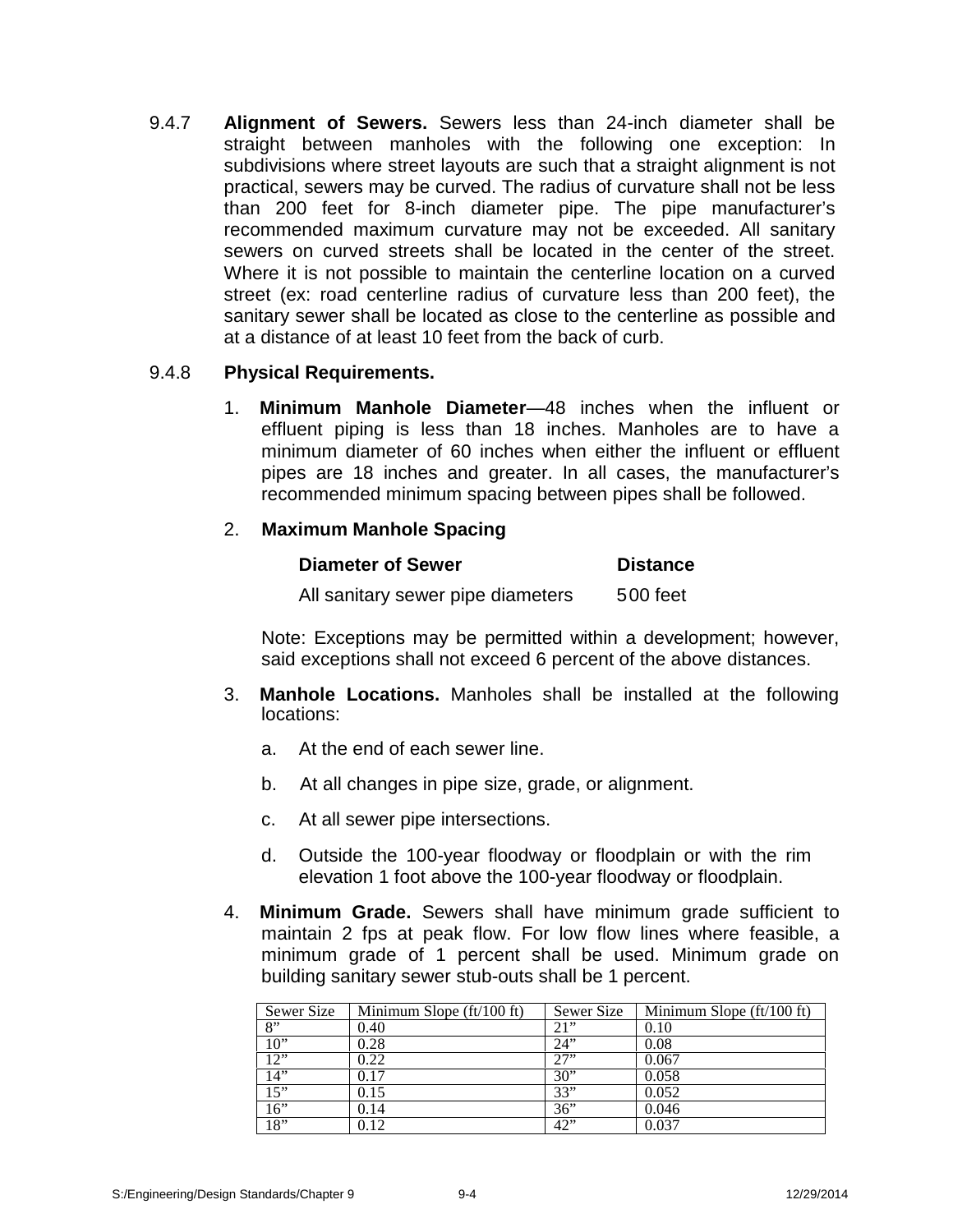9.4.7 **Alignment of Sewers.** Sewers less than 24-inch diameter shall be straight between manholes with the following one exception: In subdivisions where street layouts are such that a straight alignment is not practical, sewers may be curved. The radius of curvature shall not be less than 200 feet for 8-inch diameter pipe. The pipe manufacturer's recommended maximum curvature may not be exceeded. All sanitary sewers on curved streets shall be located in the center of the street. Where it is not possible to maintain the centerline location on a curved street (ex: road centerline radius of curvature less than 200 feet), the sanitary sewer shall be located as close to the centerline as possible and at a distance of at least 10 feet from the back of curb.

## 9.4.8 **Physical Requirements.**

1. **Minimum Manhole Diameter**—48 inches when the influent or effluent piping is less than 18 inches. Manholes are to have a minimum diameter of 60 inches when either the influent or effluent pipes are 18 inches and greater. In all cases, the manufacturer's recommended minimum spacing between pipes shall be followed.

## 2. **Maximum Manhole Spacing**

| <b>Diameter of Sewer</b>          | <b>Distance</b> |
|-----------------------------------|-----------------|
| All sanitary sewer pipe diameters | 500 feet        |

Note: Exceptions may be permitted within a development; however, said exceptions shall not exceed 6 percent of the above distances.

- 3. **Manhole Locations.** Manholes shall be installed at the following locations:
	- a. At the end of each sewer line.
	- b. At all changes in pipe size, grade, or alignment.
	- c. At all sewer pipe intersections.
	- d. Outside the 100-year floodway or floodplain or with the rim elevation 1 foot above the 100-year floodway or floodplain.
- 4. **Minimum Grade.** Sewers shall have minimum grade sufficient to maintain 2 fps at peak flow. For low flow lines where feasible, a minimum grade of 1 percent shall be used. Minimum grade on building sanitary sewer stub-outs shall be 1 percent.

| Sewer Size | Minimum Slope $\text{ft}/100 \text{ ft}$ | Sewer Size | Minimum Slope $\left(\frac{ft}{100}\right)$ ft) |
|------------|------------------------------------------|------------|-------------------------------------------------|
| 8"         | 0.40                                     | 21"        | 0.10                                            |
| 10"        | 0.28                                     | 24"        | 0.08                                            |
| 12"        | 0.22                                     | 27"        | 0.067                                           |
| 14"        | 0.17                                     | 30"        | 0.058                                           |
| 15"        | 0.15                                     | 33"        | 0.052                                           |
| 16"        | 0.14                                     | 36"        | 0.046                                           |
| 18"        | 0.12                                     | 42"        | 0.037                                           |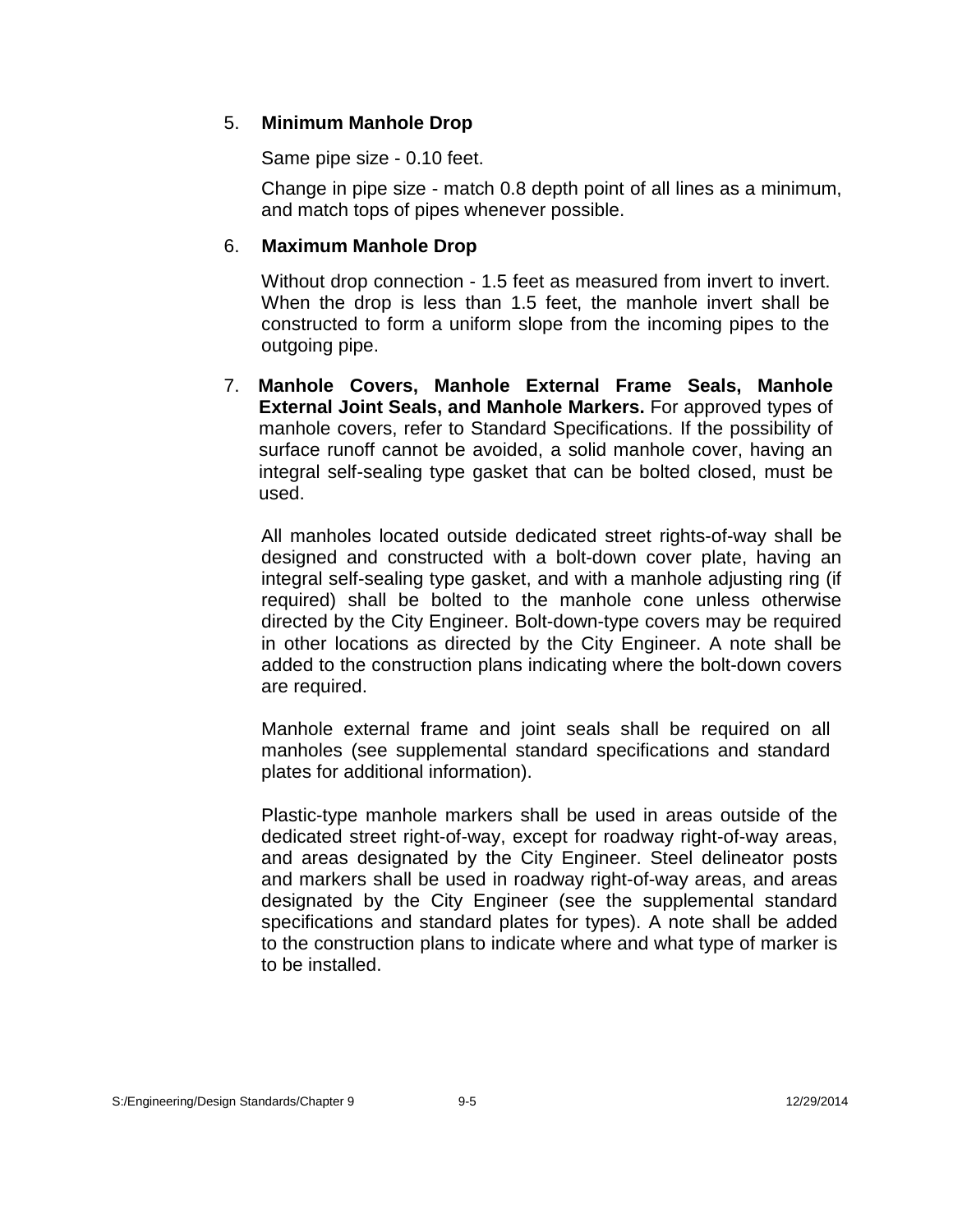## 5. **Minimum Manhole Drop**

Same pipe size - 0.10 feet.

Change in pipe size - match 0.8 depth point of all lines as a minimum, and match tops of pipes whenever possible.

## 6. **Maximum Manhole Drop**

Without drop connection - 1.5 feet as measured from invert to invert. When the drop is less than 1.5 feet, the manhole invert shall be constructed to form a uniform slope from the incoming pipes to the outgoing pipe.

7. **Manhole Covers, Manhole External Frame Seals, Manhole External Joint Seals, and Manhole Markers.** For approved types of manhole covers, refer to Standard Specifications. If the possibility of surface runoff cannot be avoided, a solid manhole cover, having an integral self-sealing type gasket that can be bolted closed, must be used.

All manholes located outside dedicated street rights-of-way shall be designed and constructed with a bolt-down cover plate, having an integral self-sealing type gasket, and with a manhole adjusting ring (if required) shall be bolted to the manhole cone unless otherwise directed by the City Engineer. Bolt-down-type covers may be required in other locations as directed by the City Engineer. A note shall be added to the construction plans indicating where the bolt-down covers are required.

Manhole external frame and joint seals shall be required on all manholes (see supplemental standard specifications and standard plates for additional information).

Plastic-type manhole markers shall be used in areas outside of the dedicated street right-of-way, except for roadway right-of-way areas, and areas designated by the City Engineer. Steel delineator posts and markers shall be used in roadway right-of-way areas, and areas designated by the City Engineer (see the supplemental standard specifications and standard plates for types). A note shall be added to the construction plans to indicate where and what type of marker is to be installed.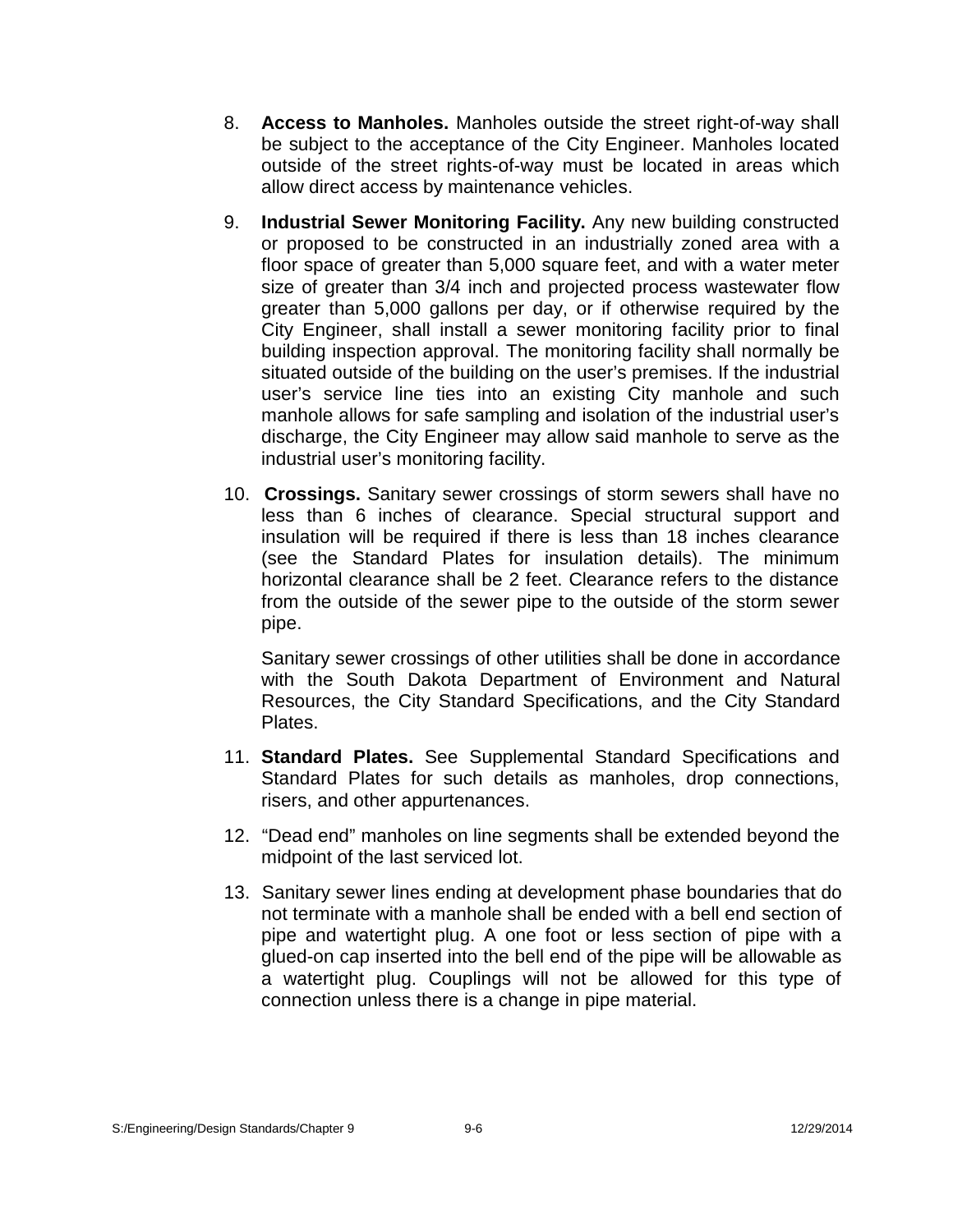- 8. **Access to Manholes.** Manholes outside the street right-of-way shall be subject to the acceptance of the City Engineer. Manholes located outside of the street rights-of-way must be located in areas which allow direct access by maintenance vehicles.
- 9. **Industrial Sewer Monitoring Facility.** Any new building constructed or proposed to be constructed in an industrially zoned area with a floor space of greater than 5,000 square feet, and with a water meter size of greater than 3/4 inch and projected process wastewater flow greater than 5,000 gallons per day, or if otherwise required by the City Engineer, shall install a sewer monitoring facility prior to final building inspection approval. The monitoring facility shall normally be situated outside of the building on the user's premises. If the industrial user's service line ties into an existing City manhole and such manhole allows for safe sampling and isolation of the industrial user's discharge, the City Engineer may allow said manhole to serve as the industrial user's monitoring facility.
- 10. **Crossings.** Sanitary sewer crossings of storm sewers shall have no less than 6 inches of clearance. Special structural support and insulation will be required if there is less than 18 inches clearance (see the Standard Plates for insulation details). The minimum horizontal clearance shall be 2 feet. Clearance refers to the distance from the outside of the sewer pipe to the outside of the storm sewer pipe.

Sanitary sewer crossings of other utilities shall be done in accordance with the South Dakota Department of Environment and Natural Resources, the City Standard Specifications, and the City Standard Plates.

- 11. **Standard Plates.** See Supplemental Standard Specifications and Standard Plates for such details as manholes, drop connections, risers, and other appurtenances.
- 12. "Dead end" manholes on line segments shall be extended beyond the midpoint of the last serviced lot.
- 13. Sanitary sewer lines ending at development phase boundaries that do not terminate with a manhole shall be ended with a bell end section of pipe and watertight plug. A one foot or less section of pipe with a glued-on cap inserted into the bell end of the pipe will be allowable as a watertight plug. Couplings will not be allowed for this type of connection unless there is a change in pipe material.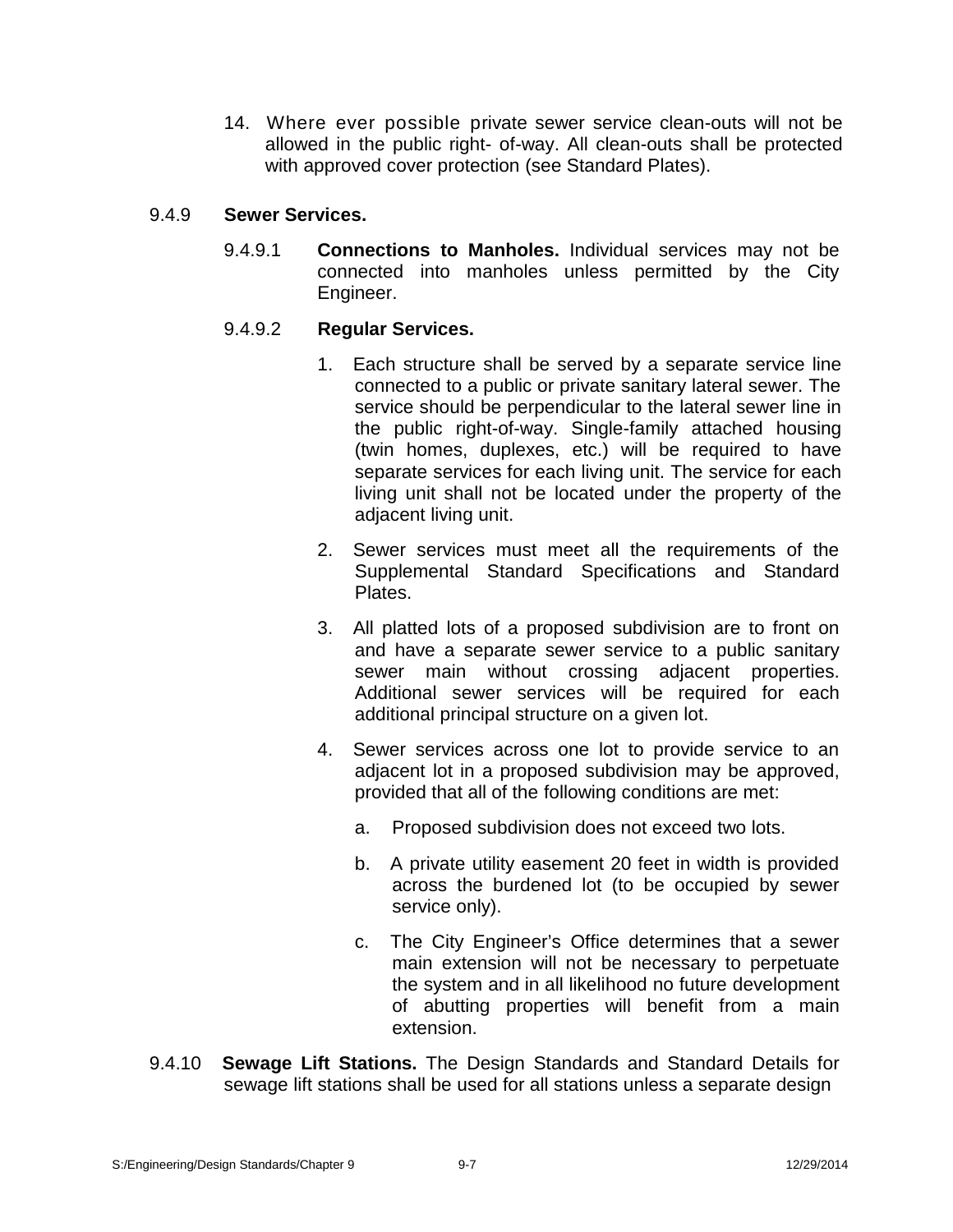14. Where ever possible private sewer service clean-outs will not be allowed in the public right- of-way. All clean-outs shall be protected with approved cover protection (see Standard Plates).

## 9.4.9 **Sewer Services.**

9.4.9.1 **Connections to Manholes.** Individual services may not be connected into manholes unless permitted by the City Engineer.

# 9.4.9.2 **Regular Services.**

- 1. Each structure shall be served by a separate service line connected to a public or private sanitary lateral sewer. The service should be perpendicular to the lateral sewer line in the public right-of-way. Single-family attached housing (twin homes, duplexes, etc.) will be required to have separate services for each living unit. The service for each living unit shall not be located under the property of the adjacent living unit.
- 2. Sewer services must meet all the requirements of the Supplemental Standard Specifications and Standard Plates.
- 3. All platted lots of a proposed subdivision are to front on and have a separate sewer service to a public sanitary sewer main without crossing adjacent properties. Additional sewer services will be required for each additional principal structure on a given lot.
- 4. Sewer services across one lot to provide service to an adjacent lot in a proposed subdivision may be approved, provided that all of the following conditions are met:
	- a. Proposed subdivision does not exceed two lots.
	- b. A private utility easement 20 feet in width is provided across the burdened lot (to be occupied by sewer service only).
	- c. The City Engineer's Office determines that a sewer main extension will not be necessary to perpetuate the system and in all likelihood no future development of abutting properties will benefit from a main extension.
- 9.4.10 **Sewage Lift Stations.** The Design Standards and Standard Details for sewage lift stations shall be used for all stations unless a separate design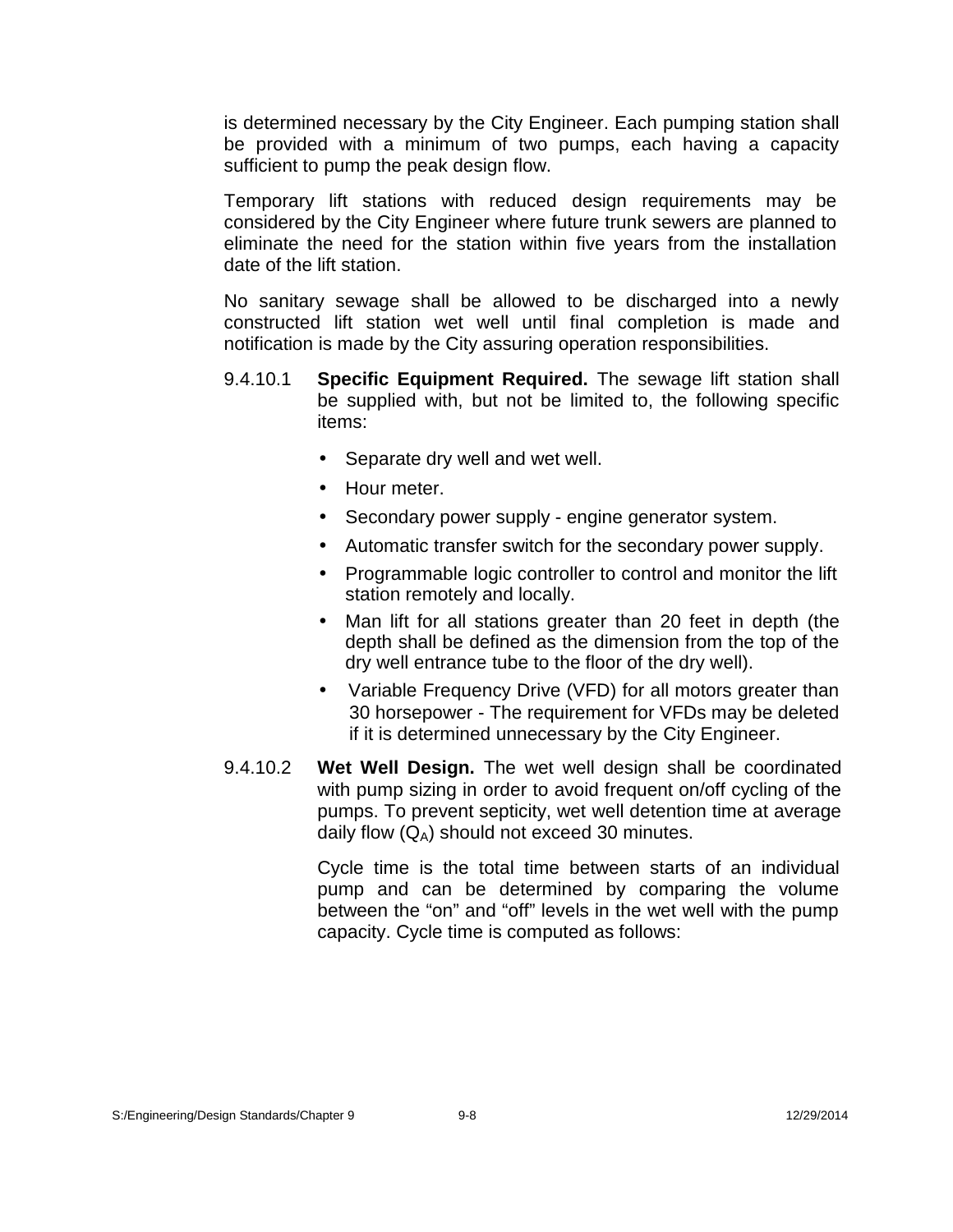is determined necessary by the City Engineer. Each pumping station shall be provided with a minimum of two pumps, each having a capacity sufficient to pump the peak design flow.

Temporary lift stations with reduced design requirements may be considered by the City Engineer where future trunk sewers are planned to eliminate the need for the station within five years from the installation date of the lift station.

No sanitary sewage shall be allowed to be discharged into a newly constructed lift station wet well until final completion is made and notification is made by the City assuring operation responsibilities.

- 9.4.10.1 **Specific Equipment Required.** The sewage lift station shall be supplied with, but not be limited to, the following specific items:
	- Separate dry well and wet well.
	- Hour meter.
	- Secondary power supply engine generator system.
	- Automatic transfer switch for the secondary power supply.
	- Programmable logic controller to control and monitor the lift station remotely and locally.
	- Man lift for all stations greater than 20 feet in depth (the depth shall be defined as the dimension from the top of the dry well entrance tube to the floor of the dry well).
	- Variable Frequency Drive (VFD) for all motors greater than 30 horsepower - The requirement for VFDs may be deleted if it is determined unnecessary by the City Engineer.
- 9.4.10.2 **Wet Well Design.** The wet well design shall be coordinated with pump sizing in order to avoid frequent on/off cycling of the pumps. To prevent septicity, wet well detention time at average daily flow  $(Q_A)$  should not exceed 30 minutes.

Cycle time is the total time between starts of an individual pump and can be determined by comparing the volume between the "on" and "off" levels in the wet well with the pump capacity. Cycle time is computed as follows: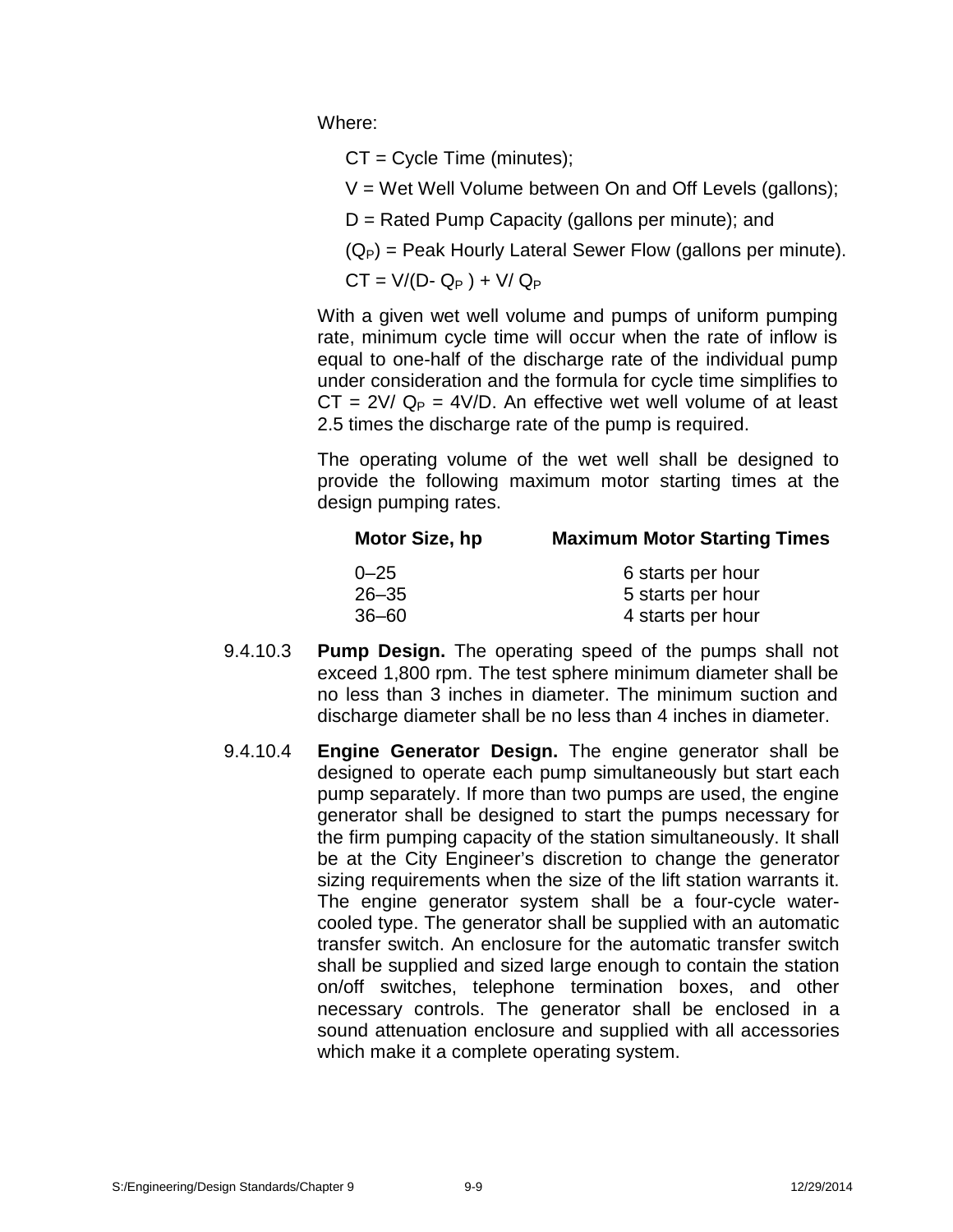Where:

 $CT = Cycle Time (minutes);$ 

 $V = W$ et Well Volume between On and Off Levels (gallons);

D = Rated Pump Capacity (gallons per minute); and

 $(Q_P)$  = Peak Hourly Lateral Sewer Flow (gallons per minute).

 $CT = V/(D - Q_P) + V/Q_P$ 

With a given wet well volume and pumps of uniform pumping rate, minimum cycle time will occur when the rate of inflow is equal to one-half of the discharge rate of the individual pump under consideration and the formula for cycle time simplifies to  $CT = 2V / Q_P = 4V/D$ . An effective wet well volume of at least 2.5 times the discharge rate of the pump is required.

The operating volume of the wet well shall be designed to provide the following maximum motor starting times at the design pumping rates.

| Motor Size, hp | <b>Maximum Motor Starting Times</b> |
|----------------|-------------------------------------|
| $0 - 25$       | 6 starts per hour                   |
| $26 - 35$      | 5 starts per hour                   |
| $36 - 60$      | 4 starts per hour                   |

- 9.4.10.3 **Pump Design.** The operating speed of the pumps shall not exceed 1,800 rpm. The test sphere minimum diameter shall be no less than 3 inches in diameter. The minimum suction and discharge diameter shall be no less than 4 inches in diameter.
- 9.4.10.4 **Engine Generator Design.** The engine generator shall be designed to operate each pump simultaneously but start each pump separately. If more than two pumps are used, the engine generator shall be designed to start the pumps necessary for the firm pumping capacity of the station simultaneously. It shall be at the City Engineer's discretion to change the generator sizing requirements when the size of the lift station warrants it. The engine generator system shall be a four-cycle water cooled type. The generator shall be supplied with an automatic transfer switch. An enclosure for the automatic transfer switch shall be supplied and sized large enough to contain the station on/off switches, telephone termination boxes, and other necessary controls. The generator shall be enclosed in a sound attenuation enclosure and supplied with all accessories which make it a complete operating system.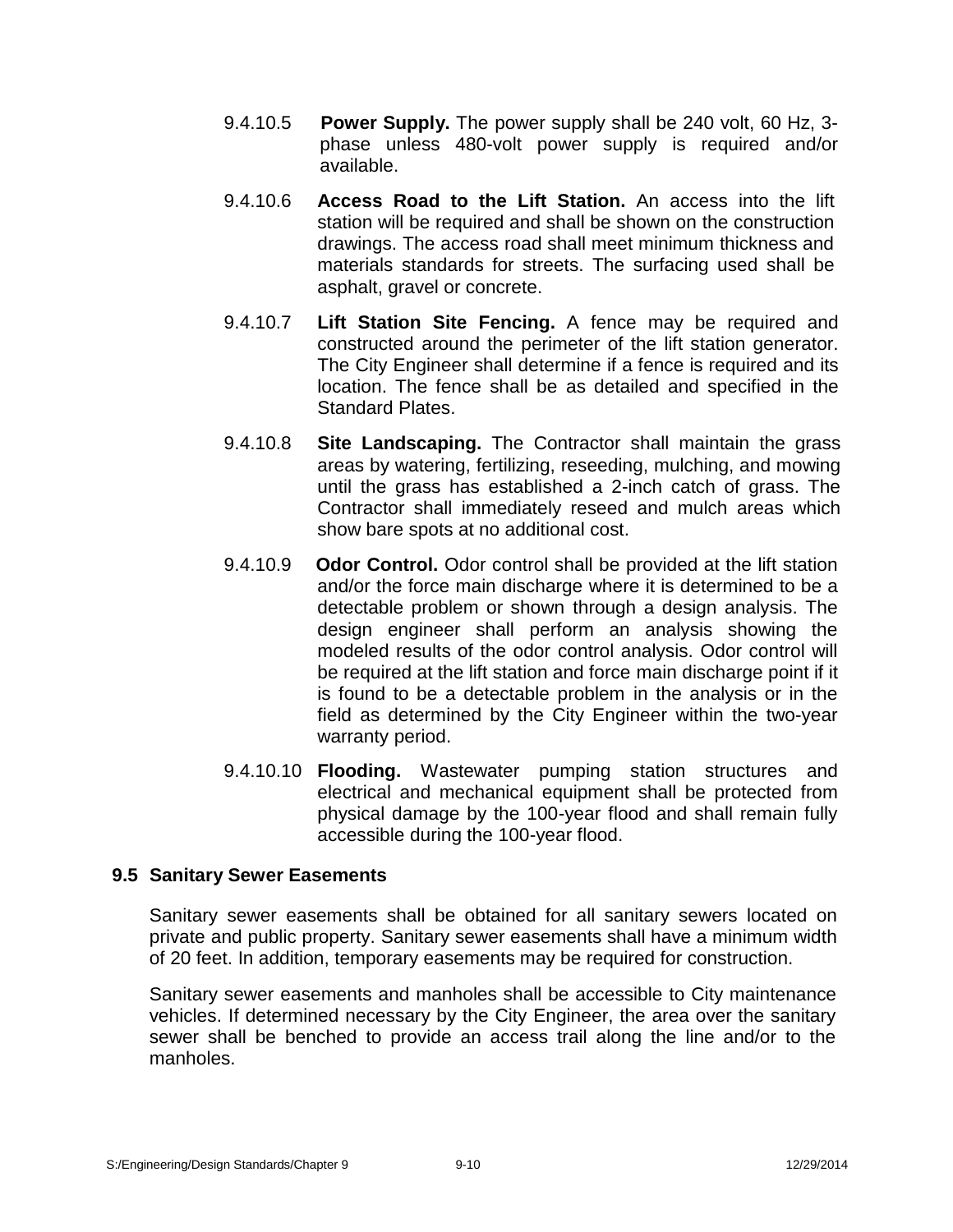- 9.4.10.5 **Power Supply.** The power supply shall be 240 volt, 60 Hz, 3 phase unless 480-volt power supply is required and/or available.
- 9.4.10.6 **Access Road to the Lift Station.** An access into the lift station will be required and shall be shown on the construction drawings. The access road shall meet minimum thickness and materials standards for streets. The surfacing used shall be asphalt, gravel or concrete.
- 9.4.10.7 **Lift Station Site Fencing.** A fence may be required and constructed around the perimeter of the lift station generator. The City Engineer shall determine if a fence is required and its location. The fence shall be as detailed and specified in the Standard Plates.
- 9.4.10.8 **Site Landscaping.** The Contractor shall maintain the grass areas by watering, fertilizing, reseeding, mulching, and mowing until the grass has established a 2-inch catch of grass. The Contractor shall immediately reseed and mulch areas which show bare spots at no additional cost.
- 9.4.10.9 **Odor Control.** Odor control shall be provided at the lift station and/or the force main discharge where it is determined to be a detectable problem or shown through a design analysis. The design engineer shall perform an analysis showing the modeled results of the odor control analysis. Odor control will be required at the lift station and force main discharge point if it is found to be a detectable problem in the analysis or in the field as determined by the City Engineer within the two-year warranty period.
- 9.4.10.10 **Flooding.** Wastewater pumping station structures and electrical and mechanical equipment shall be protected from physical damage by the 100-year flood and shall remain fully accessible during the 100-year flood.

# **9.5 Sanitary Sewer Easements**

Sanitary sewer easements shall be obtained for all sanitary sewers located on private and public property. Sanitary sewer easements shall have a minimum width of 20 feet. In addition, temporary easements may be required for construction.

Sanitary sewer easements and manholes shall be accessible to City maintenance vehicles. If determined necessary by the City Engineer, the area over the sanitary sewer shall be benched to provide an access trail along the line and/or to the manholes.